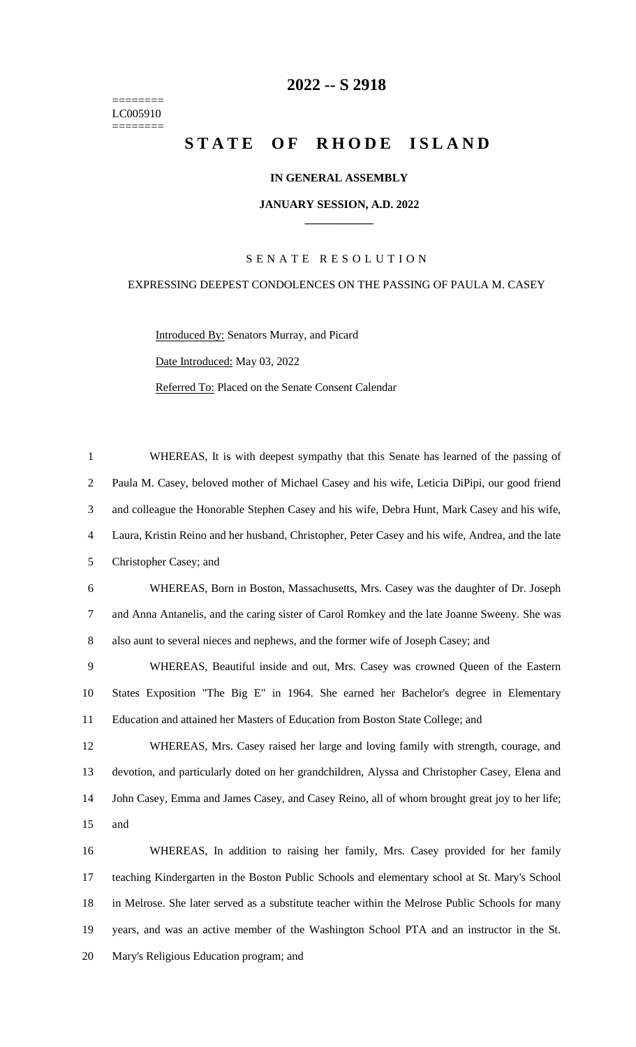======== LC005910 ========

## **-- S 2918**

# **STATE OF RHODE ISLAND**

### **IN GENERAL ASSEMBLY**

#### **JANUARY SESSION, A.D. 2022 \_\_\_\_\_\_\_\_\_\_\_\_**

### S E N A T E R E S O L U T I O N

#### EXPRESSING DEEPEST CONDOLENCES ON THE PASSING OF PAULA M. CASEY

WHEREAS, It is with deepest sympathy that this Senate has learned of the passing of

Introduced By: Senators Murray, and Picard Date Introduced: May 03, 2022 Referred To: Placed on the Senate Consent Calendar

 Paula M. Casey, beloved mother of Michael Casey and his wife, Leticia DiPipi, our good friend and colleague the Honorable Stephen Casey and his wife, Debra Hunt, Mark Casey and his wife, Laura, Kristin Reino and her husband, Christopher, Peter Casey and his wife, Andrea, and the late Christopher Casey; and WHEREAS, Born in Boston, Massachusetts, Mrs. Casey was the daughter of Dr. Joseph and Anna Antanelis, and the caring sister of Carol Romkey and the late Joanne Sweeny. She was also aunt to several nieces and nephews, and the former wife of Joseph Casey; and WHEREAS, Beautiful inside and out, Mrs. Casey was crowned Queen of the Eastern States Exposition "The Big E" in 1964. She earned her Bachelor's degree in Elementary Education and attained her Masters of Education from Boston State College; and WHEREAS, Mrs. Casey raised her large and loving family with strength, courage, and devotion, and particularly doted on her grandchildren, Alyssa and Christopher Casey, Elena and John Casey, Emma and James Casey, and Casey Reino, all of whom brought great joy to her life; and WHEREAS, In addition to raising her family, Mrs. Casey provided for her family teaching Kindergarten in the Boston Public Schools and elementary school at St. Mary's School in Melrose. She later served as a substitute teacher within the Melrose Public Schools for many years, and was an active member of the Washington School PTA and an instructor in the St. Mary's Religious Education program; and